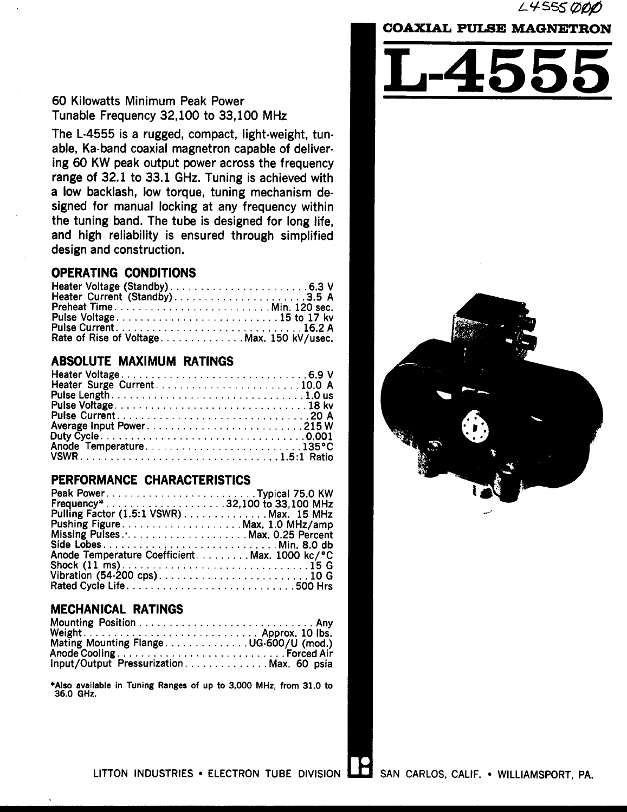### L4555 ØØØ

# **COAXIAL PULSE MAGNETRON**

### 60 Kilowatts Minimum Peak Power Tunable Frequency 32,100 to 33,100 MHz

The L-4555 is a rugged, compact, light-weight, tunable, Ka-band coaxial magnetron capable of delivering 60 KW peak output power across the frequency range of 32.1 to 33.1 GHz. Tuning is achieved with a low backlash, low torque, tuning mechanism designed for manual locking at any frequency within the tuning band. The tube is designed for long life. and high reliability is ensured through simplified design and construction.

### **OPERATING CONDITIONS**

| Preheat TimeMin. 120 sec.                 |  |
|-------------------------------------------|--|
|                                           |  |
|                                           |  |
| Rate of Rise of Voltage Max. 150 kV/usec. |  |

### **ABSOLUTE MAXIMUM RATINGS**

| Anode Temperature135°C |  |
|------------------------|--|
|                        |  |

### PERFORMANCE CHARACTERISTICS

| Frequency*32,100 to 33,100 MHz                |  |
|-----------------------------------------------|--|
| Pulling Factor (1.5:1 VSWR) Max. 15 MHz       |  |
| Pushing FigureMax. 1.0 MHz/amp                |  |
| Missing Pulses Max. 0.25 Percent              |  |
|                                               |  |
| Anode Temperature Coefficient Max. 1000 kc/°C |  |
|                                               |  |
|                                               |  |
|                                               |  |

### **MECHANICAL RATINGS**

| Weight.                                 |  |
|-----------------------------------------|--|
| Mating Mounting FlangeUG-600/U (mod.)   |  |
|                                         |  |
| Input/Output PressurizationMax. 60 psia |  |

\*Also available in Tuning Ranges of up to 3,000 MHz, from 31.0 to 36.0 GHz.



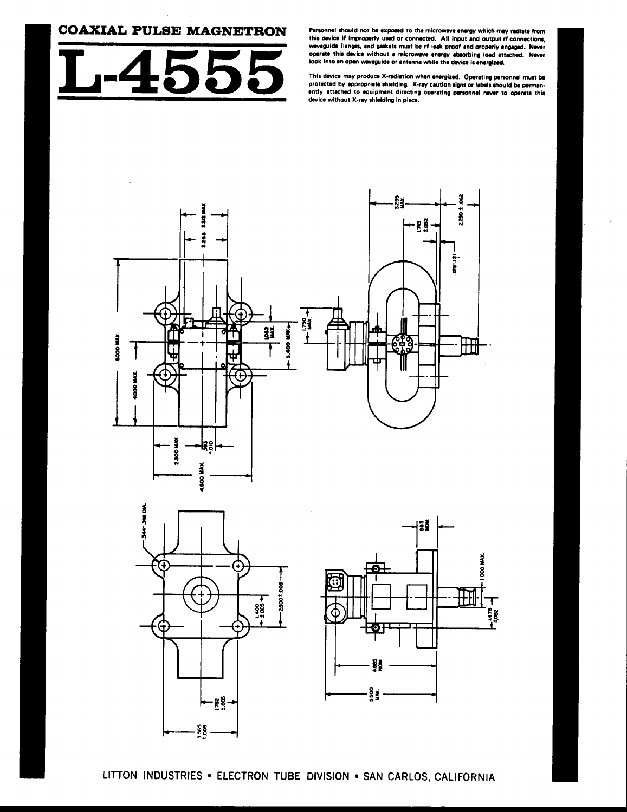### **COAXIAL PULSE MAGNETRON**



Personnel should not be exposed to the microwave energy which may radiate from this device if improperly used or connected. All input and output rf connections. waveguide flanges, and gaskets must be rf leak proof and properly engaged. Never operate this device without a microwave energy absorbing load attached. Never look into an open waveguide or antenna while the device is energized.

This device may produce X-radiation when energized. Operating personnel must be protected by appropriate shielding. X-ray caution signs or labels should be permanently attached to equipment directing operating personnel never to operate this device without X-ray shielding in place.





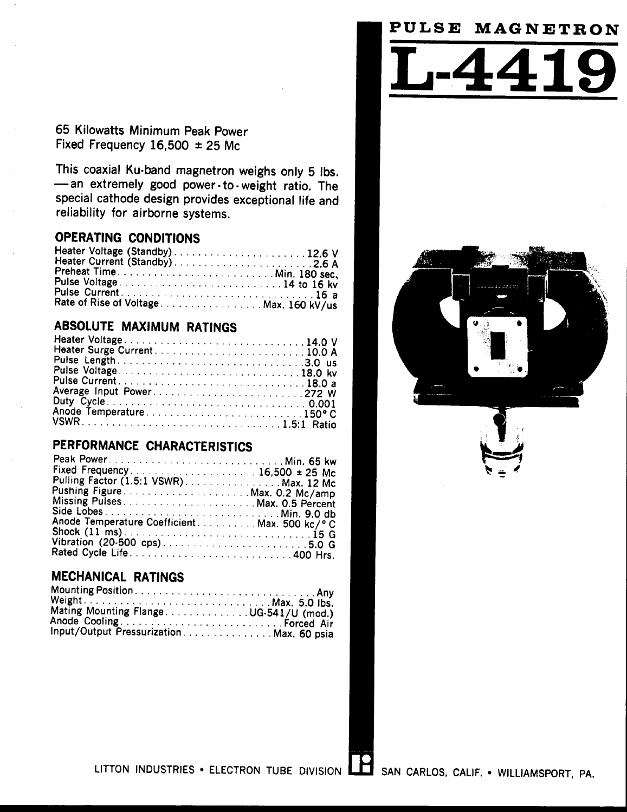# **PULSE M AGNETRON**

# 65 Kilowatts Minimum Peak Power Fixed Frequency  $16,500 \pm 25$  Mc

This coaxial Ku-band magnetron weighs only 5 lbs. -an extremely good power - to - weight ratio. The special cathode design provides exceptional life and reliability for airborne systems.

# **OPERATING CONDITIONS**

|  | Heater Voltage (Standby)12.6 V        |
|--|---------------------------------------|
|  | Heater Current (Standby)2.6 A         |
|  | Preheat TimeMin. 180 sec,             |
|  | Pulse Voltage14 to 16 kv              |
|  |                                       |
|  | Rate of Rise of VoltageMax. 160 kV/us |

# **ABSOLUTE MAXIMUM RATINGS**

| Heater Voltage14.0 V |  |
|----------------------|--|
|                      |  |
|                      |  |
| Pulse Voltage18.0 kv |  |
|                      |  |
|                      |  |
|                      |  |
|                      |  |
|                      |  |

# **PERFORMANCE CHARACTERISTICS**

| Pulling Factor (1.5:1 VSWR). Max. 12 Mc        |  |
|------------------------------------------------|--|
|                                                |  |
|                                                |  |
|                                                |  |
| Anode Temperature Coefficient. Max. 500 kc/° C |  |
|                                                |  |
| Vibration (20-500 cps)5.0 G                    |  |
|                                                |  |

# **MECHANICAL RATINGS**

| Mating Mounting FlangeUG-541/U (mod.)    |  |
|------------------------------------------|--|
| Anode Cooling  Forced Air                |  |
| Input/Output Pressurization Max. 60 psia |  |







LITTON INDUSTRIES • ELECTRON TUBE DIVISION  $\Box$  SAN CARLOS, CALIF. • WILLIAMSPORT, PA.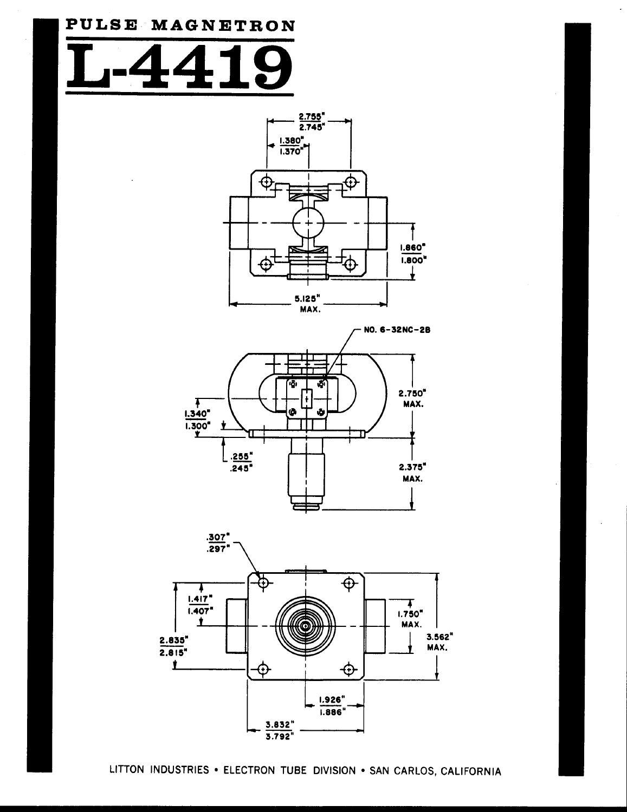# **P U LSE M AGONET R ON**





NO. 6-32NC-2S





LITTON INDUSTRIES **"** ELECTRON TUBE DIVISION \* SAN CARLOS, CALIFORNIA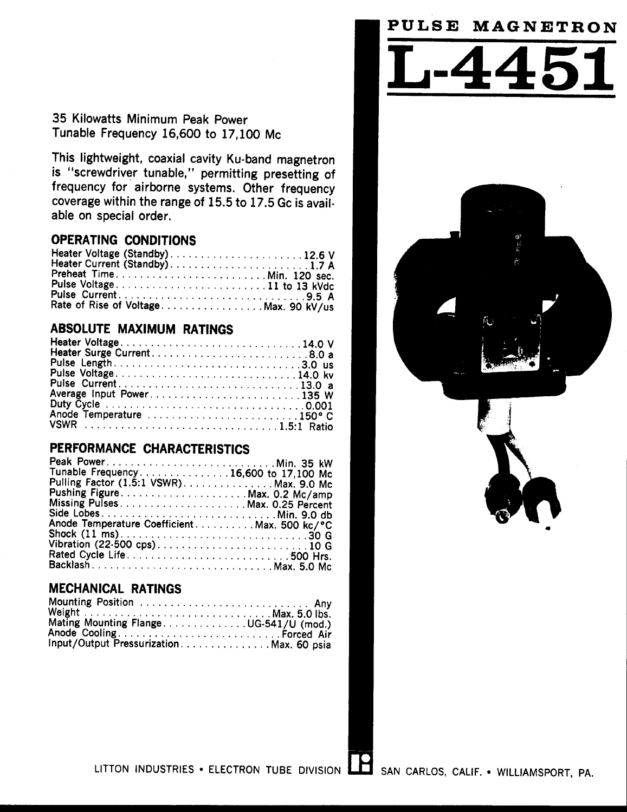# **PULSE M AGNETRON**

35 Kilowatts Minimum Peak Power Tunable Frequency 16,600 to 17,100 Mc

This lightweight, coaxial cavity Ku-band magnetron is "screwdriver tunable," permitting presetting of frequency for airborne systems. Other frequency coverage within the range of 15.5 to 17.5 Gc is available on special order.

### **OPERATING CONDITIONS**

| Heater Voltage (Standby)12.6 V<br>Heater Current (Standby)1.7 A |  |
|-----------------------------------------------------------------|--|
| Preheat TimeMin. 120 sec.<br>Pulse Voltage11 to 13 kVdc         |  |
|                                                                 |  |
| Rate of Rise of VoltageMax. 90 kV/us                            |  |

# **ABSOLUTE MAXIMUM RATINGS**

| Heater Voltage14.0 V    |
|-------------------------|
|                         |
| Pulse Length3.0 us      |
|                         |
|                         |
|                         |
|                         |
| Anode Temperature 150°C |
|                         |
|                         |

### **PERFORMANCE CHARACTERISTICS**

| Tunable Frequency16,600 to 17,100 Mc          |  |
|-----------------------------------------------|--|
| Pulling Factor (1.5:1 VSWR)Max. 9.0 Mc        |  |
| Pushing Figure Max. 0.2 Mc/amp                |  |
|                                               |  |
| Side LobesMin. 9.0 db                         |  |
| Anode Temperature Coefficient. Max. 500 kc/°C |  |
|                                               |  |
| Vibration (22-500 cps)10 G                    |  |
| Rated Cycle Life500 Hrs.                      |  |
| BacklashMax. 5.0 Mc                           |  |

# **MECHANICAL RATINGS**

| Mounting Position  Any                  |
|-----------------------------------------|
| Weight  Max. 5.0 lbs.                   |
| Mating Mounting FlangeUG-541/U (mod.)   |
|                                         |
| Input/Output PressurizationMax. 60 psia |







LITTON INDUSTRIES \* ELECTRON TUBE DIVISION **L** SAN CARLOS, CALIF. \* WILLIAMSPORT, PA.